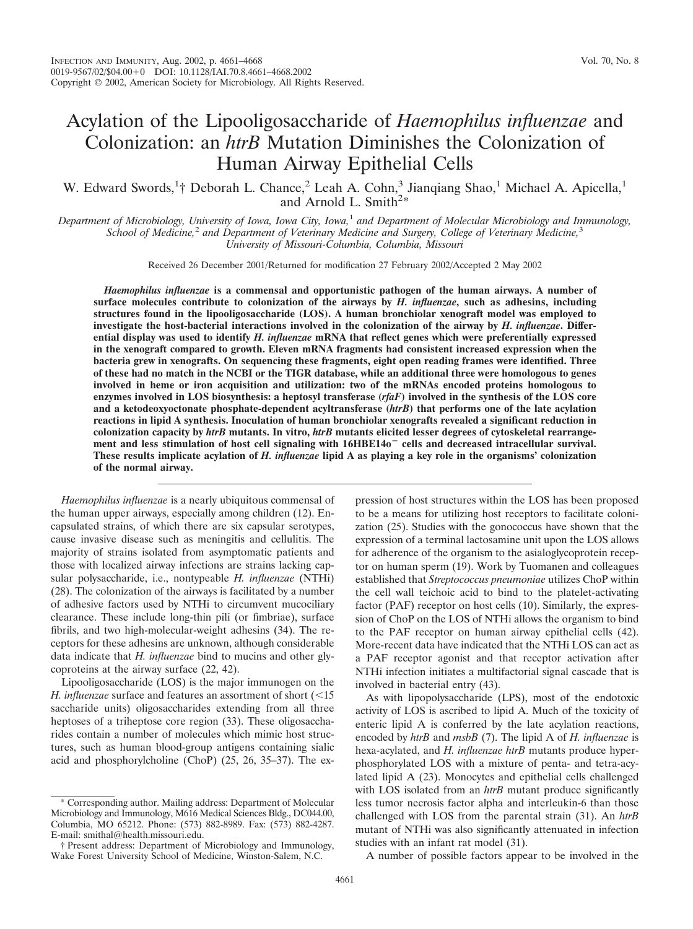# Acylation of the Lipooligosaccharide of *Haemophilus influenzae* and Colonization: an *htrB* Mutation Diminishes the Colonization of Human Airway Epithelial Cells

W. Edward Swords,<sup>1</sup>† Deborah L. Chance,<sup>2</sup> Leah A. Cohn,<sup>3</sup> Jianqiang Shao,<sup>1</sup> Michael A. Apicella,<sup>1</sup> and Arnold L. Smith<sup>2\*</sup>

*Department of Microbiology, University of Iowa, Iowa City, Iowa,*<sup>1</sup> *and Department of Molecular Microbiology and Immunology, School of Medicine,*<sup>2</sup> *and Department of Veterinary Medicine and Surgery, College of Veterinary Medicine,*<sup>3</sup> *University of Missouri-Columbia, Columbia, Missouri*

Received 26 December 2001/Returned for modification 27 February 2002/Accepted 2 May 2002

*Haemophilus influenzae* **is a commensal and opportunistic pathogen of the human airways. A number of surface molecules contribute to colonization of the airways by** *H. influenzae***, such as adhesins, including structures found in the lipooligosaccharide (LOS). A human bronchiolar xenograft model was employed to investigate the host-bacterial interactions involved in the colonization of the airway by** *H. influenzae***. Differential display was used to identify** *H. influenzae* **mRNA that reflect genes which were preferentially expressed in the xenograft compared to growth. Eleven mRNA fragments had consistent increased expression when the bacteria grew in xenografts. On sequencing these fragments, eight open reading frames were identified. Three of these had no match in the NCBI or the TIGR database, while an additional three were homologous to genes involved in heme or iron acquisition and utilization: two of the mRNAs encoded proteins homologous to enzymes involved in LOS biosynthesis: a heptosyl transferase (***rfaF***) involved in the synthesis of the LOS core and a ketodeoxyoctonate phosphate-dependent acyltransferase (***htrB***) that performs one of the late acylation reactions in lipid A synthesis. Inoculation of human bronchiolar xenografts revealed a significant reduction in colonization capacity by** *htrB* **mutants. In vitro,** *htrB* **mutants elicited lesser degrees of cytoskeletal rearrangement and less stimulation of host cell signaling with 16HBE14o cells and decreased intracellular survival. These results implicate acylation of** *H. influenzae* **lipid A as playing a key role in the organisms' colonization of the normal airway.**

*Haemophilus influenzae* is a nearly ubiquitous commensal of the human upper airways, especially among children (12). Encapsulated strains, of which there are six capsular serotypes, cause invasive disease such as meningitis and cellulitis. The majority of strains isolated from asymptomatic patients and those with localized airway infections are strains lacking capsular polysaccharide, i.e., nontypeable *H. influenzae* (NTHi) (28). The colonization of the airways is facilitated by a number of adhesive factors used by NTHi to circumvent mucociliary clearance. These include long-thin pili (or fimbriae), surface fibrils, and two high-molecular-weight adhesins (34). The receptors for these adhesins are unknown, although considerable data indicate that *H. influenzae* bind to mucins and other glycoproteins at the airway surface (22, 42).

Lipooligosaccharide (LOS) is the major immunogen on the *H. influenzae* surface and features an assortment of short (<15 saccharide units) oligosaccharides extending from all three heptoses of a triheptose core region (33). These oligosaccharides contain a number of molecules which mimic host structures, such as human blood-group antigens containing sialic acid and phosphorylcholine (ChoP) (25, 26, 35–37). The expression of host structures within the LOS has been proposed to be a means for utilizing host receptors to facilitate colonization (25). Studies with the gonococcus have shown that the expression of a terminal lactosamine unit upon the LOS allows for adherence of the organism to the asialoglycoprotein receptor on human sperm (19). Work by Tuomanen and colleagues established that *Streptococcus pneumoniae* utilizes ChoP within the cell wall teichoic acid to bind to the platelet-activating factor (PAF) receptor on host cells (10). Similarly, the expression of ChoP on the LOS of NTHi allows the organism to bind to the PAF receptor on human airway epithelial cells (42). More-recent data have indicated that the NTHi LOS can act as a PAF receptor agonist and that receptor activation after NTHi infection initiates a multifactorial signal cascade that is involved in bacterial entry (43).

As with lipopolysaccharide (LPS), most of the endotoxic activity of LOS is ascribed to lipid A. Much of the toxicity of enteric lipid A is conferred by the late acylation reactions, encoded by *htrB* and *msbB* (7). The lipid A of *H. influenzae* is hexa-acylated, and *H. influenzae htrB* mutants produce hyperphosphorylated LOS with a mixture of penta- and tetra-acylated lipid A (23). Monocytes and epithelial cells challenged with LOS isolated from an *htrB* mutant produce significantly less tumor necrosis factor alpha and interleukin-6 than those challenged with LOS from the parental strain (31). An *htrB* mutant of NTHi was also significantly attenuated in infection studies with an infant rat model (31).

A number of possible factors appear to be involved in the

Corresponding author. Mailing address: Department of Molecular Microbiology and Immunology, M616 Medical Sciences Bldg., DC044.00, Columbia, MO 65212. Phone: (573) 882-8989. Fax: (573) 882-4287. E-mail: smithal@health.missouri.edu.

<sup>†</sup> Present address: Department of Microbiology and Immunology, Wake Forest University School of Medicine, Winston-Salem, N.C.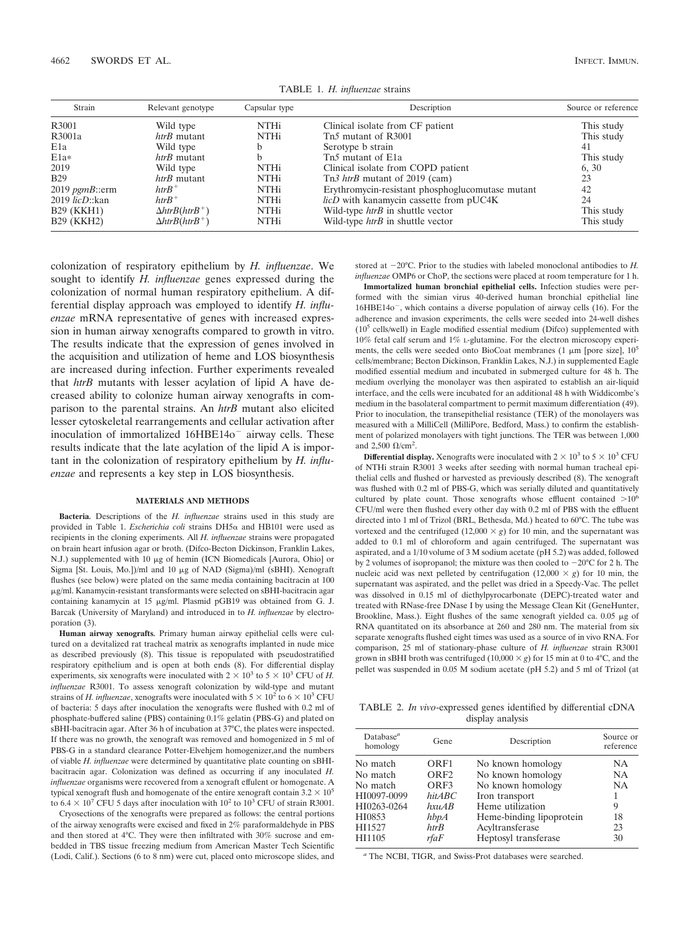|  |  |  | TABLE 1. H. influenzae strains |  |
|--|--|--|--------------------------------|--|
|--|--|--|--------------------------------|--|

| Strain                   | Relevant genotype             | Capsular type | Description                                      | Source or reference |
|--------------------------|-------------------------------|---------------|--------------------------------------------------|---------------------|
| R3001                    | Wild type                     | <b>NTHi</b>   | Clinical isolate from CF patient                 | This study          |
| R3001a                   | htrB mutant                   | NTHi          | Tn5 mutant of R3001                              | This study          |
| E <sub>1</sub> a         | Wild type                     |               | Serotype b strain                                | 41                  |
| $E1a*$                   | htrB mutant                   |               | Tn5 mutant of E1a                                | This study          |
| 2019                     | Wild type                     | NTHi          | Clinical isolate from COPD patient               | 6, 30               |
| <b>B29</b>               | htrB mutant                   | <b>NTHi</b>   | Tn3 htrB mutant of 2019 (cam)                    | 23                  |
| 2019 $pqmB::erm$         | $htrB^+$                      | NTHi          | Erythromycin-resistant phosphoglucomutase mutant | 42                  |
| $2019$ <i>licD</i> ::kan | $htrB^+$                      | NTHi          | licD with kanamycin cassette from pUC4K          | 24                  |
| <b>B29 (KKH1)</b>        | $\Delta$ htr $B$ (htr $B^+$ ) | <b>NTHi</b>   | Wild-type <i>htrB</i> in shuttle vector          | This study          |
| <b>B29 (KKH2)</b>        | $\Delta$ htr $B$ (htr $B^+$ ) | NTHi          | Wild-type htrB in shuttle vector                 | This study          |

colonization of respiratory epithelium by *H. influenzae*. We sought to identify *H. influenzae* genes expressed during the colonization of normal human respiratory epithelium. A differential display approach was employed to identify *H. influenzae* mRNA representative of genes with increased expression in human airway xenografts compared to growth in vitro. The results indicate that the expression of genes involved in the acquisition and utilization of heme and LOS biosynthesis are increased during infection. Further experiments revealed that *htrB* mutants with lesser acylation of lipid A have decreased ability to colonize human airway xenografts in comparison to the parental strains. An *htrB* mutant also elicited lesser cytoskeletal rearrangements and cellular activation after inoculation of immortalized  $16HBE14o^-$  airway cells. These results indicate that the late acylation of the lipid A is important in the colonization of respiratory epithelium by *H. influenzae* and represents a key step in LOS biosynthesis.

### **MATERIALS AND METHODS**

**Bacteria***.* Descriptions of the *H. influenzae* strains used in this study are provided in Table 1. *Escherichia coli* strains DH5α and HB101 were used as recipients in the cloning experiments. All *H. influenzae* strains were propagated on brain heart infusion agar or broth. (Difco-Becton Dickinson, Franklin Lakes, N.J.) supplemented with 10 µg of hemin (ICN Biomedicals [Aurora, Ohio] or Sigma [St. Louis, Mo.])/ml and 10  $\mu$ g of NAD (Sigma)/ml (sBHI). Xenograft flushes (see below) were plated on the same media containing bacitracin at 100 g/ml. Kanamycin-resistant transformants were selected on sBHI-bacitracin agar containing kanamycin at 15  $\mu$ g/ml. Plasmid pGB19 was obtained from G. J. Barcak (University of Maryland) and introduced in to *H. influenzae* by electroporation (3).

**Human airway xenografts***.* Primary human airway epithelial cells were cultured on a devitalized rat tracheal matrix as xenografts implanted in nude mice as described previously (8). This tissue is repopulated with pseudostratified respiratory epithelium and is open at both ends (8). For differential display experiments, six xenografts were inoculated with  $2 \times 10^3$  to  $5 \times 10^3$  CFU of *H*. *influenzae* R3001. To assess xenograft colonization by wild-type and mutant strains of *H. influenzae*, xenografts were inoculated with  $5 \times 10^2$  to  $6 \times 10^3$  CFU of bacteria: 5 days after inoculation the xenografts were flushed with 0.2 ml of phosphate-buffered saline (PBS) containing 0.1% gelatin (PBS-G) and plated on sBHI-bacitracin agar. After 36 h of incubation at 37°C, the plates were inspected. If there was no growth, the xenograft was removed and homogenized in 5 ml of PBS-G in a standard clearance Potter-Elvehjem homogenizer,and the numbers of viable *H. influenzae* were determined by quantitative plate counting on sBHIbacitracin agar. Colonization was defined as occurring if any inoculated *H. influenzae* organisms were recovered from a xenograft effulent or homogenate. A typical xenograft flush and homogenate of the entire xenograft contain  $3.2 \times 10^5$ to  $6.4 \times 10^7$  CFU 5 days after inoculation with  $10^2$  to  $10^3$  CFU of strain R3001.

Cryosections of the xenografts were prepared as follows: the central portions of the airway xenografts were excised and fixed in 2% paraformaldehyde in PBS and then stored at 4°C. They were then infiltrated with 30% sucrose and embedded in TBS tissue freezing medium from American Master Tech Scientific (Lodi, Calif.). Sections (6 to 8 nm) were cut, placed onto microscope slides, and

stored at  $-20^{\circ}$ C. Prior to the studies with labeled monoclonal antibodies to *H*. *influenzae* OMP6 or ChoP, the sections were placed at room temperature for 1 h.

**Immortalized human bronchial epithelial cells.** Infection studies were performed with the simian virus 40-derived human bronchial epithelial line  $16HBE14o^-$ , which contains a diverse population of airway cells (16). For the adherence and invasion experiments, the cells were seeded into 24-well dishes  $(10<sup>5</sup>$  cells/well) in Eagle modified essential medium (Difco) supplemented with 10% fetal calf serum and 1% L-glutamine. For the electron microscopy experiments, the cells were seeded onto BioCoat membranes (1  $\mu$ m [pore size], 10<sup>5</sup> cells/membrane; Becton Dickinson, Franklin Lakes, N.J.) in supplemented Eagle modified essential medium and incubated in submerged culture for 48 h. The medium overlying the monolayer was then aspirated to establish an air-liquid interface, and the cells were incubated for an additional 48 h with Widdicombe's medium in the basolateral compartment to permit maximum differentiation (49). Prior to inoculation, the transepithelial resistance (TER) of the monolayers was measured with a MilliCell (MilliPore, Bedford, Mass.) to confirm the establishment of polarized monolayers with tight junctions. The TER was between 1,000 and 2,500  $\Omega$ /cm<sup>2</sup>.

**Differential display.** Xenografts were inoculated with  $2 \times 10^3$  to  $5 \times 10^3$  CFU of NTHi strain R3001 3 weeks after seeding with normal human tracheal epithelial cells and flushed or harvested as previously described (8). The xenograft was flushed with 0.2 ml of PBS-G, which was serially diluted and quantitatively cultured by plate count. Those xenografts whose effluent contained  $>10^6$ CFU/ml were then flushed every other day with 0.2 ml of PBS with the effluent directed into 1 ml of Trizol (BRL, Bethesda, Md.) heated to 60°C. The tube was vortexed and the centrifuged  $(12,000 \times g)$  for 10 min, and the supernatant was added to 0.1 ml of chloroform and again centrifuged. The supernatant was aspirated, and a 1/10 volume of 3 M sodium acetate (pH 5.2) was added, followed by 2 volumes of isopropanol; the mixture was then cooled to  $-20^{\circ}$ C for 2 h. The nucleic acid was next pelleted by centrifugation  $(12,000 \times g)$  for 10 min, the supernatant was aspirated, and the pellet was dried in a Speedy-Vac. The pellet was dissolved in 0.15 ml of diethylpyrocarbonate (DEPC)-treated water and treated with RNase-free DNase I by using the Message Clean Kit (GeneHunter, Brookline, Mass.). Eight flushes of the same xenograft yielded ca.  $0.05 \mu$ g of RNA quantitated on its absorbance at 260 and 280 nm. The material from six separate xenografts flushed eight times was used as a source of in vivo RNA. For comparison, 25 ml of stationary-phase culture of *H. influenzae* strain R3001 grown in sBHI broth was centrifuged  $(10,000 \times g)$  for 15 min at 0 to 4°C, and the pellet was suspended in 0.05 M sodium acetate (pH 5.2) and 5 ml of Trizol (at

TABLE 2. *In vivo*-expressed genes identified by differential cDNA display analysis

| Database <sup><math>a</math></sup><br>homology | Gene             | Description              | Source or<br>reference |
|------------------------------------------------|------------------|--------------------------|------------------------|
| No match                                       | ORF1             | No known homology        | NA                     |
| No match                                       | ORF <sub>2</sub> | No known homology        | NA                     |
| No match                                       | ORF3             | No known homology        | NA                     |
| HI0097-0099                                    | hitABC           | Iron transport           |                        |
| HI0263-0264                                    | hxuAB            | Heme utilization         | 9                      |
| HI0853                                         | hbpA             | Heme-binding lipoprotein | 18                     |
| HI1527                                         | htrB             | Acyltransferase          | 23                     |
| HI1105                                         | rfaF             | Heptosyl transferase     | 30                     |

*<sup>a</sup>* The NCBI, TIGR, and Swiss-Prot databases were searched.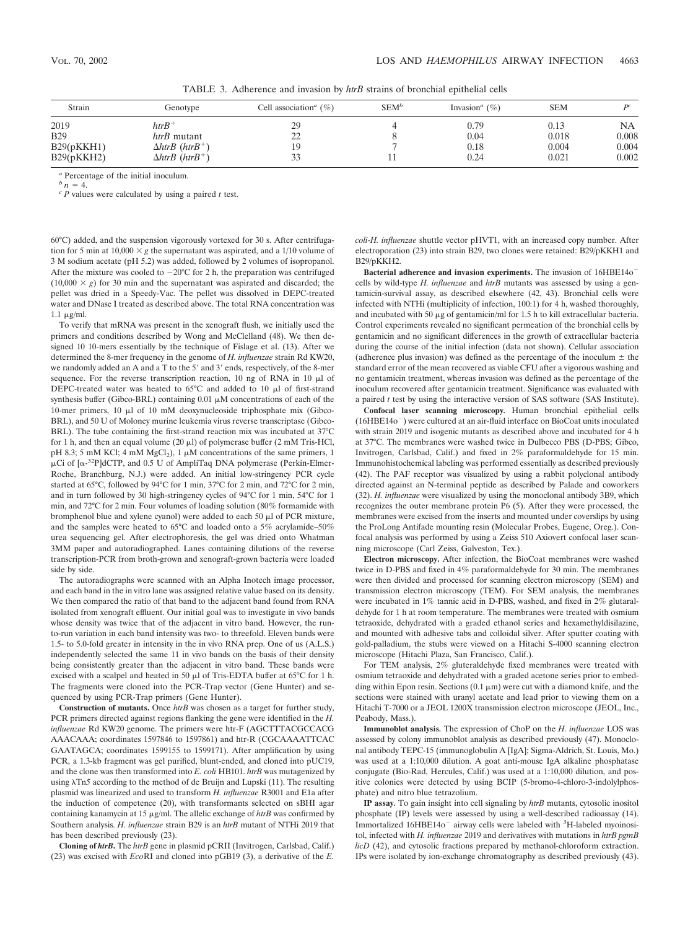| Strain     | Genotype                      | Cell association <sup><i>a</i></sup> (%) | $SEM^b$ | Invasion <sup>a</sup> (%) | <b>SEM</b> | DC    |
|------------|-------------------------------|------------------------------------------|---------|---------------------------|------------|-------|
| 2019       | $htrB^+$                      | 29                                       |         | 0.79                      | 0.13       | NA    |
| <b>B29</b> | htrB mutant                   | ∠∠                                       |         | 0.04                      | 0.018      | 0.008 |
| B29(pKKH1) | $\Delta$ htr $B$ (htr $B^+$ ) | 19                                       |         | 0.18                      | 0.004      | 0.004 |
| B29(pKKH2) | $\Delta$ htr $B$ (htr $B^+$ ) | 33                                       |         | 0.24                      | 0.021      | 0.002 |

TABLE 3. Adherence and invasion by *htrB* strains of bronchial epithelial cells

<sup>*a*</sup> Percentage of the initial inoculum.<br> $\frac{b}{n} = 4$ .

 $\binom{c}{r}$  values were calculated by using a paired *t* test.

60°C) added, and the suspension vigorously vortexed for 30 s. After centrifugation for 5 min at  $10,000 \times g$  the supernatant was aspirated, and a 1/10 volume of 3 M sodium acetate (pH 5.2) was added, followed by 2 volumes of isopropanol. After the mixture was cooled to  $-20^{\circ}$ C for 2 h, the preparation was centrifuged  $(10,000 \times g)$  for 30 min and the supernatant was aspirated and discarded; the pellet was dried in a Speedy-Vac. The pellet was dissolved in DEPC-treated water and DNase I treated as described above. The total RNA concentration was  $1.1 \mu$ g/ml.

To verify that mRNA was present in the xenograft flush, we initially used the primers and conditions described by Wong and McClelland (48). We then designed 10 10-mers essentially by the technique of Fislage et al. (13). After we determined the 8-mer frequency in the genome of *H. influenzae* strain Rd KW20, we randomly added an A and a T to the 5' and 3' ends, respectively, of the 8-mer sequence. For the reverse transcription reaction, 10 ng of RNA in 10  $\mu$ l of DEPC-treated water was heated to  $65^{\circ}$ C and added to 10  $\mu$ l of first-strand synthesis buffer (Gibco-BRL) containing  $0.01 \mu M$  concentrations of each of the 10-mer primers, 10  $\mu$ l of 10 mM deoxynucleoside triphosphate mix (Gibco-BRL), and 50 U of Moloney murine leukemia virus reverse transcriptase (Gibco-BRL). The tube containing the first-strand reaction mix was incubated at 37°C for 1 h, and then an equal volume (20  $\mu$ l) of polymerase buffer (2 mM Tris-HCl, pH 8.3; 5 mM KCl; 4 mM  $MgCl<sub>2</sub>$ ), 1  $\mu$ M concentrations of the same primers, 1  $\mu$ Ci of [ $\alpha$ -<sup>32</sup>P]dCTP, and 0.5 U of AmpliTaq DNA polymerase (Perkin-Elmer-Roche, Branchburg, N.J.) were added. An initial low-stringency PCR cycle started at 65°C, followed by 94°C for 1 min, 37°C for 2 min, and 72°C for 2 min, and in turn followed by 30 high-stringency cycles of 94°C for 1 min, 54°C for 1 min, and 72°C for 2 min. Four volumes of loading solution (80% formamide with bromphenol blue and xylene cyanol) were added to each  $50 \mu$ l of PCR mixture, and the samples were heated to 65°C and loaded onto a 5% acrylamide–50% urea sequencing gel. After electrophoresis, the gel was dried onto Whatman 3MM paper and autoradiographed. Lanes containing dilutions of the reverse transcription-PCR from broth-grown and xenograft-grown bacteria were loaded side by side.

The autoradiographs were scanned with an Alpha Inotech image processor, and each band in the in vitro lane was assigned relative value based on its density. We then compared the ratio of that band to the adjacent band found from RNA isolated from xenograft effluent. Our initial goal was to investigate in vivo bands whose density was twice that of the adjacent in vitro band. However, the runto-run variation in each band intensity was two- to threefold. Eleven bands were 1.5- to 5.0-fold greater in intensity in the in vivo RNA prep. One of us (A.L.S.) independently selected the same 11 in vivo bands on the basis of their density being consistently greater than the adjacent in vitro band. These bands were excised with a scalpel and heated in 50  $\mu$ l of Tris-EDTA buffer at 65 $\degree$ C for 1 h. The fragments were cloned into the PCR-Trap vector (Gene Hunter) and sequenced by using PCR-Trap primers (Gene Hunter).

**Construction of mutants.** Once *htrB* was chosen as a target for further study, PCR primers directed against regions flanking the gene were identified in the *H. influenzae* Rd KW20 genome. The primers were htr-F (AGCTTTACGCCACG AAACAAA; coordinates 1597846 to 1597861) and htr-R (CGCAAAATTCAC GAATAGCA; coordinates 1599155 to 1599171). After amplification by using PCR, a 1.3-kb fragment was gel purified, blunt-ended, and cloned into pUC19, and the clone was then transformed into *E. coli* HB101. *htrB* was mutagenized by using  $\lambda$ Tn<sub>5</sub> according to the method of de Bruijn and Lupski (11). The resulting plasmid was linearized and used to transform *H. influenzae* R3001 and E1a after the induction of competence (20), with transformants selected on sBHI agar containing kanamycin at 15  $\mu$ g/ml. The allelic exchange of *htrB* was confirmed by Southern analysis. *H. influenzae* strain B29 is an *htrB* mutant of NTHi 2019 that has been described previously (23).

**Cloning of** *htrB***.** The *htrB* gene in plasmid pCRII (Invitrogen, Carlsbad, Calif.) (23) was excised with *Eco*RI and cloned into pGB19 (3), a derivative of the *E.*

*coli*-*H. influenzae* shuttle vector pHVT1, with an increased copy number. After electroporation (23) into strain B29, two clones were retained: B29/pKKH1 and B29/pKKH2.

**Bacterial adherence and invasion experiments.** The invasion of 16HBE14o cells by wild-type *H. influenzae* and *htrB* mutants was assessed by using a gentamicin-survival assay, as described elsewhere (42, 43). Bronchial cells were infected with NTHi (multiplicity of infection, 100:1) for 4 h, washed thoroughly, and incubated with 50  $\mu$ g of gentamicin/ml for 1.5 h to kill extracellular bacteria. Control experiments revealed no significant permeation of the bronchial cells by gentamicin and no significant differences in the growth of extracellular bacteria during the course of the initial infection (data not shown). Cellular association (adherence plus invasion) was defined as the percentage of the inoculum  $\pm$  the standard error of the mean recovered as viable CFU after a vigorous washing and no gentamicin treatment, whereas invasion was defined as the percentage of the inoculum recovered after gentamicin treatment. Significance was evaluated with a paired *t* test by using the interactive version of SAS software (SAS Institute).

**Confocal laser scanning microscopy***.* Human bronchial epithelial cells (16HBE14o<sup>-</sup>) were cultured at an air-fluid interface on BioCoat units inoculated with strain 2019 and isogenic mutants as described above and incubated for 4 h at 37°C. The membranes were washed twice in Dulbecco PBS (D-PBS; Gibco, Invitrogen, Carlsbad, Calif.) and fixed in 2% paraformaldehyde for 15 min. Immunohistochemical labeling was performed essentially as described previously (42). The PAF receptor was visualized by using a rabbit polyclonal antibody directed against an N-terminal peptide as described by Palade and coworkers (32). *H. influenzae* were visualized by using the monoclonal antibody 3B9, which recognizes the outer membrane protein P6 (5). After they were processed, the membranes were excised from the inserts and mounted under coverslips by using the ProLong Antifade mounting resin (Molecular Probes, Eugene, Oreg.). Confocal analysis was performed by using a Zeiss 510 Axiovert confocal laser scanning microscope (Carl Zeiss, Galveston, Tex.).

**Electron microscopy.** After infection, the BioCoat membranes were washed twice in D-PBS and fixed in 4% paraformaldehyde for 30 min. The membranes were then divided and processed for scanning electron microscopy (SEM) and transmission electron microscopy (TEM). For SEM analysis, the membranes were incubated in 1% tannic acid in D-PBS, washed, and fixed in 2% glutaraldehyde for 1 h at room temperature. The membranes were treated with osmium tetraoxide, dehydrated with a graded ethanol series and hexamethyldisilazine, and mounted with adhesive tabs and colloidal silver. After sputter coating with gold-palladium, the stubs were viewed on a Hitachi S-4000 scanning electron microscope (Hitachi Plaza, San Francisco, Calif.).

For TEM analysis, 2% gluteraldehyde fixed membranes were treated with osmium tetraoxide and dehydrated with a graded acetone series prior to embedding within Epon resin. Sections  $(0.1 \mu m)$  were cut with a diamond knife, and the sections were stained with uranyl acetate and lead prior to viewing them on a Hitachi T-7000 or a JEOL 1200X transmission electron microscope (JEOL, Inc., Peabody, Mass.).

**Immunoblot analysis***.* The expression of ChoP on the *H. influenzae* LOS was assessed by colony immunoblot analysis as described previously (47). Monoclonal antibody TEPC-15 (immunoglobulin A [IgA]; Sigma-Aldrich, St. Louis, Mo.) was used at a 1:10,000 dilution. A goat anti-mouse IgA alkaline phosphatase conjugate (Bio-Rad, Hercules, Calif.) was used at a 1:10,000 dilution, and positive colonies were detected by using BCIP (5-bromo-4-chloro-3-indolylphosphate) and nitro blue tetrazolium.

**IP assay***.* To gain insight into cell signaling by *htrB* mutants, cytosolic inositol phosphate (IP) levels were assessed by using a well-described radioassay (14). Immortalized 16HBE14o<sup>-</sup> airway cells were labeled with <sup>3</sup>H-labeled myoinositol, infected with *H. influenzae* 2019 and derivatives with mutations in *htrB pgmB licD* (42), and cytosolic fractions prepared by methanol-chloroform extraction. IPs were isolated by ion-exchange chromatography as described previously (43).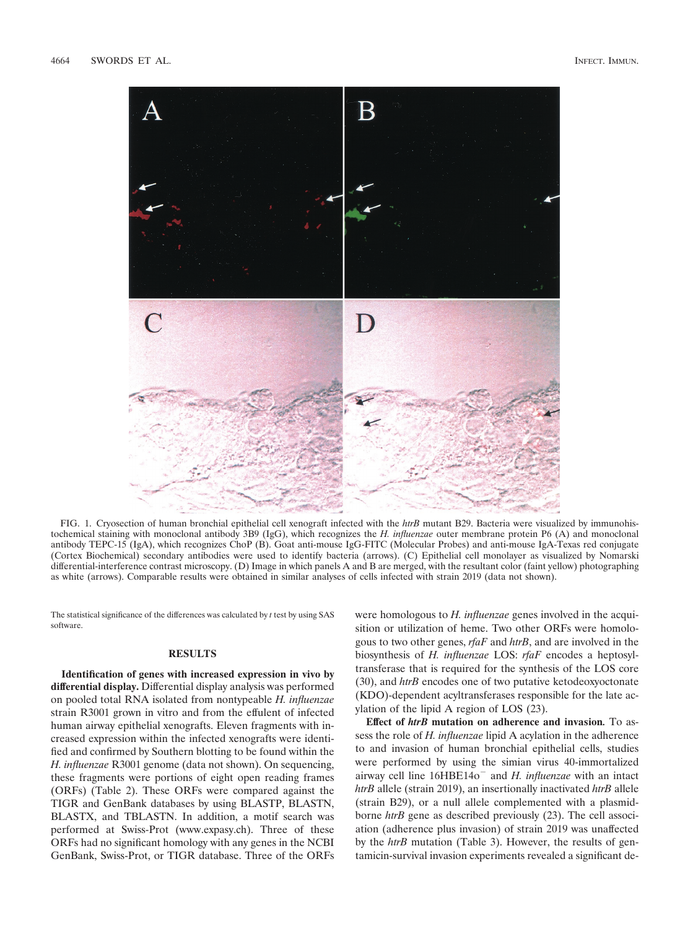

FIG. 1. Cryosection of human bronchial epithelial cell xenograft infected with the *htrB* mutant B29. Bacteria were visualized by immunohistochemical staining with monoclonal antibody 3B9 (IgG), which recognizes the *H. influenzae* outer membrane protein P6 (A) and monoclonal antibody TEPC-15 (IgA), which recognizes ChoP (B). Goat anti-mouse IgG-FITC (Molecular Probes) and anti-mouse IgA-Texas red conjugate (Cortex Biochemical) secondary antibodies were used to identify bacteria (arrows). (C) Epithelial cell monolayer as visualized by Nomarski differential-interference contrast microscopy. (D) Image in which panels A and B are merged, with the resultant color (faint yellow) photographing as white (arrows). Comparable results were obtained in similar analyses of cells infected with strain 2019 (data not shown).

The statistical significance of the differences was calculated by *t* test by using SAS software.

## **RESULTS**

**Identification of genes with increased expression in vivo by differential display.** Differential display analysis was performed on pooled total RNA isolated from nontypeable *H. influenzae* strain R3001 grown in vitro and from the effulent of infected human airway epithelial xenografts. Eleven fragments with increased expression within the infected xenografts were identified and confirmed by Southern blotting to be found within the *H. influenzae* R3001 genome (data not shown). On sequencing, these fragments were portions of eight open reading frames (ORFs) (Table 2). These ORFs were compared against the TIGR and GenBank databases by using BLASTP, BLASTN, BLASTX, and TBLASTN. In addition, a motif search was performed at Swiss-Prot (www.expasy.ch). Three of these ORFs had no significant homology with any genes in the NCBI GenBank, Swiss-Prot, or TIGR database. Three of the ORFs

were homologous to *H. influenzae* genes involved in the acquisition or utilization of heme. Two other ORFs were homologous to two other genes, *rfaF* and *htrB*, and are involved in the biosynthesis of *H. influenzae* LOS: *rfaF* encodes a heptosyltransferase that is required for the synthesis of the LOS core (30), and *htrB* encodes one of two putative ketodeoxyoctonate (KDO)-dependent acyltransferases responsible for the late acylation of the lipid A region of LOS (23).

**Effect of** *htrB* **mutation on adherence and invasion***.* To assess the role of *H. influenzae* lipid A acylation in the adherence to and invasion of human bronchial epithelial cells, studies were performed by using the simian virus 40-immortalized airway cell line 16HBE14o<sup>-</sup> and *H. influenzae* with an intact *htrB* allele (strain 2019), an insertionally inactivated *htrB* allele (strain B29), or a null allele complemented with a plasmidborne *htrB* gene as described previously (23). The cell association (adherence plus invasion) of strain 2019 was unaffected by the *htrB* mutation (Table 3). However, the results of gentamicin-survival invasion experiments revealed a significant de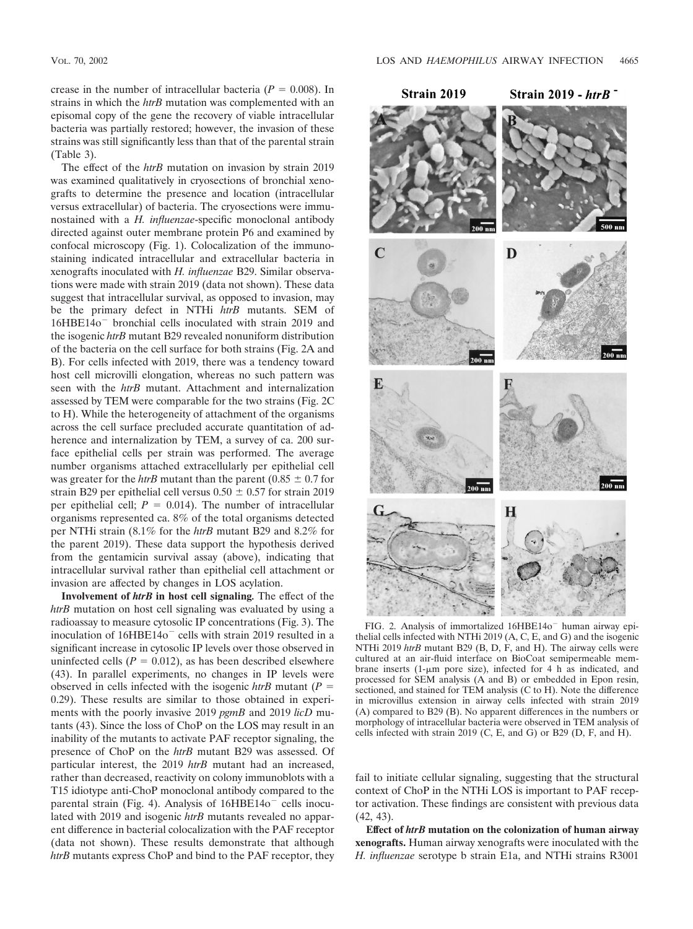crease in the number of intracellular bacteria  $(P = 0.008)$ . In strains in which the *htrB* mutation was complemented with an episomal copy of the gene the recovery of viable intracellular bacteria was partially restored; however, the invasion of these strains was still significantly less than that of the parental strain (Table 3).

The effect of the *htrB* mutation on invasion by strain 2019 was examined qualitatively in cryosections of bronchial xenografts to determine the presence and location (intracellular versus extracellular) of bacteria. The cryosections were immunostained with a *H. influenzae*-specific monoclonal antibody directed against outer membrane protein P6 and examined by confocal microscopy (Fig. 1). Colocalization of the immunostaining indicated intracellular and extracellular bacteria in xenografts inoculated with *H. influenzae* B29. Similar observations were made with strain 2019 (data not shown). These data suggest that intracellular survival, as opposed to invasion, may be the primary defect in NTHi *htrB* mutants. SEM of 16HBE14o<sup>-</sup> bronchial cells inoculated with strain 2019 and the isogenic *htrB* mutant B29 revealed nonuniform distribution of the bacteria on the cell surface for both strains (Fig. 2A and B). For cells infected with 2019, there was a tendency toward host cell microvilli elongation, whereas no such pattern was seen with the *htrB* mutant. Attachment and internalization assessed by TEM were comparable for the two strains (Fig. 2C to H). While the heterogeneity of attachment of the organisms across the cell surface precluded accurate quantitation of adherence and internalization by TEM, a survey of ca. 200 surface epithelial cells per strain was performed. The average number organisms attached extracellularly per epithelial cell was greater for the *htrB* mutant than the parent  $(0.85 \pm 0.7$  for strain B29 per epithelial cell versus  $0.50 \pm 0.57$  for strain 2019 per epithelial cell;  $P = 0.014$ ). The number of intracellular organisms represented ca. 8% of the total organisms detected per NTHi strain (8.1% for the *htrB* mutant B29 and 8.2% for the parent 2019). These data support the hypothesis derived from the gentamicin survival assay (above), indicating that intracellular survival rather than epithelial cell attachment or invasion are affected by changes in LOS acylation.

**Involvement of** *htrB* **in host cell signaling***.* The effect of the *htrB* mutation on host cell signaling was evaluated by using a radioassay to measure cytosolic IP concentrations (Fig. 3). The inoculation of  $16HBE14o^-$  cells with strain 2019 resulted in a significant increase in cytosolic IP levels over those observed in uninfected cells  $(P = 0.012)$ , as has been described elsewhere (43). In parallel experiments, no changes in IP levels were observed in cells infected with the isogenic  $htrB$  mutant ( $P =$ 0.29). These results are similar to those obtained in experiments with the poorly invasive 2019 *pgmB* and 2019 *licD* mutants (43). Since the loss of ChoP on the LOS may result in an inability of the mutants to activate PAF receptor signaling, the presence of ChoP on the *htrB* mutant B29 was assessed. Of particular interest, the 2019 *htrB* mutant had an increased, rather than decreased, reactivity on colony immunoblots with a T15 idiotype anti-ChoP monoclonal antibody compared to the parental strain (Fig. 4). Analysis of  $16HBE14o^-$  cells inoculated with 2019 and isogenic *htrB* mutants revealed no apparent difference in bacterial colocalization with the PAF receptor (data not shown). These results demonstrate that although *htrB* mutants express ChoP and bind to the PAF receptor, they



FIG. 2. Analysis of immortalized 16HBE14o<sup>-</sup> human airway epithelial cells infected with NTHi 2019 (A, C, E, and G) and the isogenic NTHi 2019 *htrB* mutant B29 (B, D, F, and H). The airway cells were cultured at an air-fluid interface on BioCoat semipermeable membrane inserts (1- $\mu$ m pore size), infected for 4 h as indicated, and processed for SEM analysis (A and B) or embedded in Epon resin, sectioned, and stained for TEM analysis (C to H). Note the difference in microvillus extension in airway cells infected with strain 2019 (A) compared to B29 (B). No apparent differences in the numbers or morphology of intracellular bacteria were observed in TEM analysis of cells infected with strain 2019 (C, E, and G) or B29 (D, F, and H).

fail to initiate cellular signaling, suggesting that the structural context of ChoP in the NTHi LOS is important to PAF receptor activation. These findings are consistent with previous data (42, 43).

**Effect of** *htrB* **mutation on the colonization of human airway xenografts.** Human airway xenografts were inoculated with the *H. influenzae* serotype b strain E1a, and NTHi strains R3001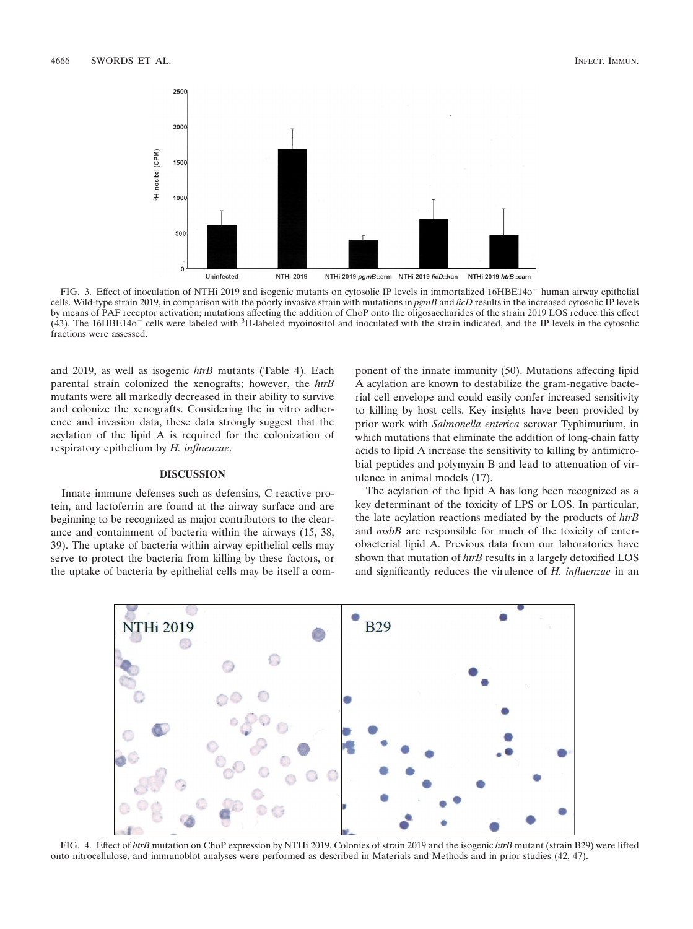

FIG. 3. Effect of inoculation of NTHi 2019 and isogenic mutants on cytosolic IP levels in immortalized 16HBE14o<sup>-</sup> human airway epithelial cells. Wild-type strain 2019, in comparison with the poorly invasive strain with mutations in *pgmB* and *licD* results in the increased cytosolic IP levels by means of PAF receptor activation; mutations affecting the addition of ChoP onto the oligosaccharides of the strain 2019 LOS reduce this effect  $(43)$ . The 16HBE14o<sup>-</sup> cells were labeled with <sup>3</sup>H-labeled myoinositol and inoculated with the strain indicated, and the IP levels in the cytosolic fractions were assessed.

and 2019, as well as isogenic *htrB* mutants (Table 4). Each parental strain colonized the xenografts; however, the *htrB* mutants were all markedly decreased in their ability to survive and colonize the xenografts. Considering the in vitro adherence and invasion data, these data strongly suggest that the acylation of the lipid A is required for the colonization of respiratory epithelium by *H. influenzae*.

## **DISCUSSION**

Innate immune defenses such as defensins, C reactive protein, and lactoferrin are found at the airway surface and are beginning to be recognized as major contributors to the clearance and containment of bacteria within the airways (15, 38, 39). The uptake of bacteria within airway epithelial cells may serve to protect the bacteria from killing by these factors, or the uptake of bacteria by epithelial cells may be itself a component of the innate immunity (50). Mutations affecting lipid A acylation are known to destabilize the gram-negative bacterial cell envelope and could easily confer increased sensitivity to killing by host cells. Key insights have been provided by prior work with *Salmonella enterica* serovar Typhimurium, in which mutations that eliminate the addition of long-chain fatty acids to lipid A increase the sensitivity to killing by antimicrobial peptides and polymyxin B and lead to attenuation of virulence in animal models (17).

The acylation of the lipid A has long been recognized as a key determinant of the toxicity of LPS or LOS. In particular, the late acylation reactions mediated by the products of *htrB* and *msbB* are responsible for much of the toxicity of enterobacterial lipid A. Previous data from our laboratories have shown that mutation of *htrB* results in a largely detoxified LOS and significantly reduces the virulence of *H. influenzae* in an



FIG. 4. Effect of *htrB* mutation on ChoP expression by NTHi 2019. Colonies of strain 2019 and the isogenic *htrB* mutant (strain B29) were lifted onto nitrocellulose, and immunoblot analyses were performed as described in Materials and Methods and in prior studies (42, 47).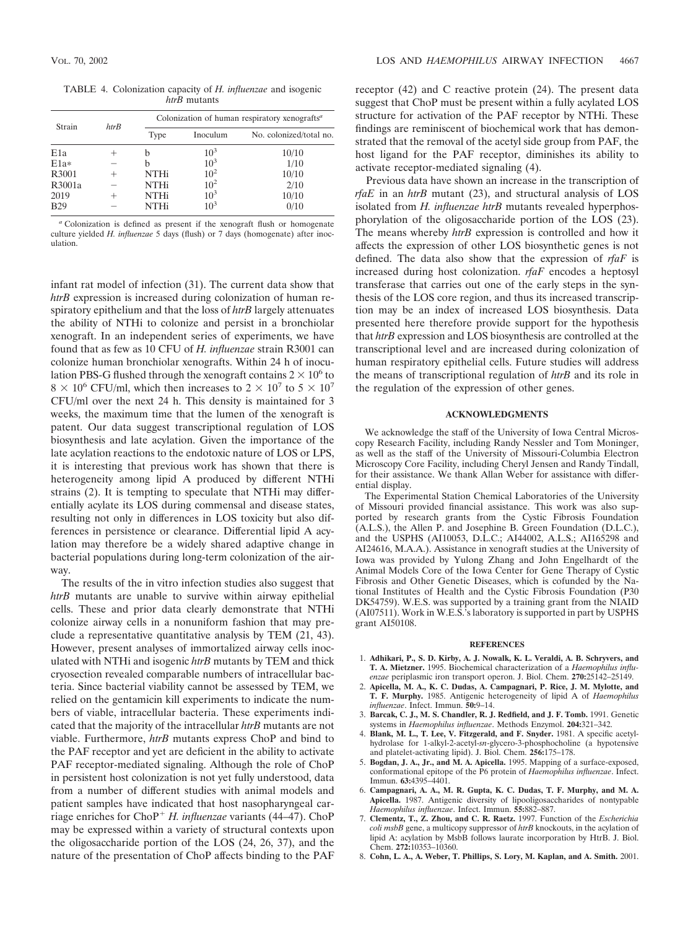TABLE 4. Colonization capacity of *H. influenzae* and isogenic *htrB* mutants

| Strain     |      |             | Colonization of human respiratory xenografts <sup><math>a</math></sup> |                         |  |  |
|------------|------|-------------|------------------------------------------------------------------------|-------------------------|--|--|
|            | htrB | Type        | Inoculum                                                               | No. colonized/total no. |  |  |
| E1a        |      | h           | $10^{3}$                                                               | 10/10                   |  |  |
| $E1a*$     |      | b           | $10^{3}$                                                               | 1/10                    |  |  |
| R3001      |      | <b>NTHi</b> | $10^{2}$                                                               | 10/10                   |  |  |
| R3001a     |      | <b>NTHi</b> | $10^{2}$                                                               | 2/10                    |  |  |
| 2019       |      | <b>NTHi</b> | $10^{3}$                                                               | 10/10                   |  |  |
| <b>B29</b> |      | <b>NTHi</b> | $10^3$                                                                 | 0/10                    |  |  |
|            |      |             |                                                                        |                         |  |  |

*<sup>a</sup>* Colonization is defined as present if the xenograft flush or homogenate culture yielded *H. influenzae* 5 days (flush) or 7 days (homogenate) after inoculation.

infant rat model of infection (31). The current data show that *htrB* expression is increased during colonization of human respiratory epithelium and that the loss of *htrB* largely attenuates the ability of NTHi to colonize and persist in a bronchiolar xenograft. In an independent series of experiments, we have found that as few as 10 CFU of *H. influenzae* strain R3001 can colonize human bronchiolar xenografts. Within 24 h of inoculation PBS-G flushed through the xenograft contains  $2 \times 10^6$  to  $8 \times 10^6$  CFU/ml, which then increases to  $2 \times 10^7$  to  $5 \times 10^7$ CFU/ml over the next 24 h. This density is maintained for 3 weeks, the maximum time that the lumen of the xenograft is patent. Our data suggest transcriptional regulation of LOS biosynthesis and late acylation. Given the importance of the late acylation reactions to the endotoxic nature of LOS or LPS, it is interesting that previous work has shown that there is heterogeneity among lipid A produced by different NTHi strains (2). It is tempting to speculate that NTHi may differentially acylate its LOS during commensal and disease states, resulting not only in differences in LOS toxicity but also differences in persistence or clearance. Differential lipid A acylation may therefore be a widely shared adaptive change in bacterial populations during long-term colonization of the airway.

The results of the in vitro infection studies also suggest that *htrB* mutants are unable to survive within airway epithelial cells. These and prior data clearly demonstrate that NTHi colonize airway cells in a nonuniform fashion that may preclude a representative quantitative analysis by TEM (21, 43). However, present analyses of immortalized airway cells inoculated with NTHi and isogenic *htrB* mutants by TEM and thick cryosection revealed comparable numbers of intracellular bacteria. Since bacterial viability cannot be assessed by TEM, we relied on the gentamicin kill experiments to indicate the numbers of viable, intracellular bacteria. These experiments indicated that the majority of the intracellular *htrB* mutants are not viable. Furthermore, *htrB* mutants express ChoP and bind to the PAF receptor and yet are deficient in the ability to activate PAF receptor-mediated signaling. Although the role of ChoP in persistent host colonization is not yet fully understood, data from a number of different studies with animal models and patient samples have indicated that host nasopharyngeal carriage enriches for ChoP<sup>+</sup> H. influenzae variants (44–47). ChoP may be expressed within a variety of structural contexts upon the oligosaccharide portion of the LOS (24, 26, 37), and the nature of the presentation of ChoP affects binding to the PAF

receptor (42) and C reactive protein (24). The present data suggest that ChoP must be present within a fully acylated LOS structure for activation of the PAF receptor by NTHi. These findings are reminiscent of biochemical work that has demonstrated that the removal of the acetyl side group from PAF, the host ligand for the PAF receptor, diminishes its ability to activate receptor-mediated signaling (4).

Previous data have shown an increase in the transcription of *rfaE* in an *htrB* mutant (23), and structural analysis of LOS isolated from *H. influenzae htrB* mutants revealed hyperphosphorylation of the oligosaccharide portion of the LOS (23). The means whereby *htrB* expression is controlled and how it affects the expression of other LOS biosynthetic genes is not defined. The data also show that the expression of *rfaF* is increased during host colonization. *rfaF* encodes a heptosyl transferase that carries out one of the early steps in the synthesis of the LOS core region, and thus its increased transcription may be an index of increased LOS biosynthesis. Data presented here therefore provide support for the hypothesis that *htrB* expression and LOS biosynthesis are controlled at the transcriptional level and are increased during colonization of human respiratory epithelial cells. Future studies will address the means of transcriptional regulation of *htrB* and its role in the regulation of the expression of other genes.

#### **ACKNOWLEDGMENTS**

We acknowledge the staff of the University of Iowa Central Microscopy Research Facility, including Randy Nessler and Tom Moninger, as well as the staff of the University of Missouri-Columbia Electron Microscopy Core Facility, including Cheryl Jensen and Randy Tindall, for their assistance. We thank Allan Weber for assistance with differential display.

The Experimental Station Chemical Laboratories of the University of Missouri provided financial assistance. This work was also supported by research grants from the Cystic Fibrosis Foundation (A.L.S.), the Allen P. and Josephine B. Green Foundation (D.L.C.), and the USPHS (AI10053, D.L.C.; AI44002, A.L.S.; AI165298 and AI24616, M.A.A.). Assistance in xenograft studies at the University of Iowa was provided by Yulong Zhang and John Engelhardt of the Animal Models Core of the Iowa Center for Gene Therapy of Cystic Fibrosis and Other Genetic Diseases, which is cofunded by the National Institutes of Health and the Cystic Fibrosis Foundation (P30 DK54759). W.E.S. was supported by a training grant from the NIAID (AI07511). Work in W.E.S.'s laboratory is supported in part by USPHS grant AI50108.

#### **REFERENCES**

- 1. **Adhikari, P., S. D. Kirby, A. J. Nowalk, K. L. Veraldi, A. B. Schryvers, and T. A. Mietzner.** 1995. Biochemical characterization of a *Haemophilus influenzae* periplasmic iron transport operon. J. Biol. Chem. **270:**25142–25149.
- 2. **Apicella, M. A., K. C. Dudas, A. Campagnari, P. Rice, J. M. Mylotte, and T. F. Murphy.** 1985. Antigenic heterogeneity of lipid A of *Haemophilus influenzae*. Infect. Immun. **50:**9–14.
- 3. **Barcak, C. J., M. S. Chandler, R. J. Redfield, and J. F. Tomb.** 1991. Genetic systems in *Haemophilus influenzae*. Methods Enzymol. **204:**321–342.
- 4. **Blank, M. L., T. Lee, V. Fitzgerald, and F. Snyder.** 1981. A specific acetylhydrolase for 1-alkyl-2-acetyl-*sn*-glycero-3-phosphocholine (a hypotensive and platelet-activating lipid). J. Biol. Chem. **256:**175–178.
- 5. **Bogdan, J. A., Jr., and M. A. Apicella.** 1995. Mapping of a surface-exposed, conformational epitope of the P6 protein of *Haemophilus influenzae*. Infect. Immun. **63:**4395–4401.
- 6. **Campagnari, A. A., M. R. Gupta, K. C. Dudas, T. F. Murphy, and M. A. Apicella.** 1987. Antigenic diversity of lipooligosaccharides of nontypable *Haemophilus influenzae*. Infect. Immun. **55:**882–887.
- 7. **Clementz, T., Z. Zhou, and C. R. Raetz.** 1997. Function of the *Escherichia coli msbB* gene, a multicopy suppressor of *htrB* knockouts, in the acylation of lipid A: acylation by MsbB follows laurate incorporation by HtrB. J. Biol. Chem. **272:**10353–10360.
- 8. **Cohn, L. A., A. Weber, T. Phillips, S. Lory, M. Kaplan, and A. Smith.** 2001.